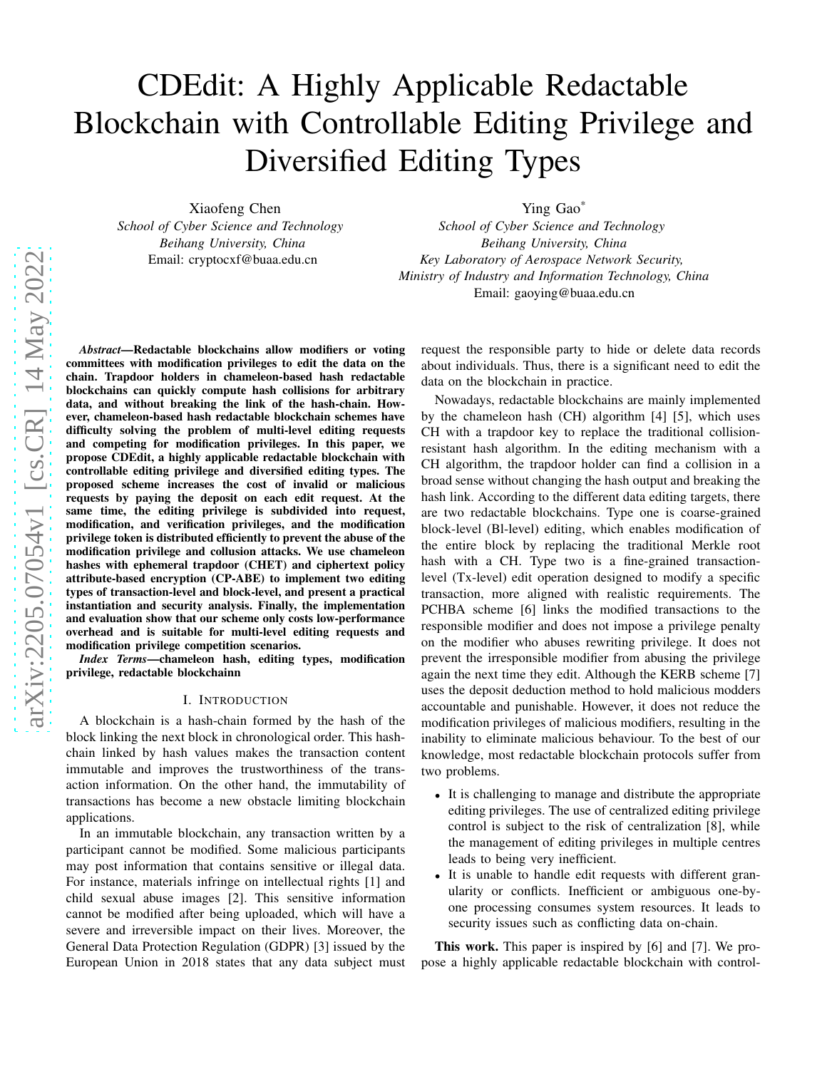# CDEdit: A Highly Applicable Redactable Blockchain with Controllable Editing Privilege and Diversified Editing Types

Xiaofeng Chen *School of Cyber Science and Technology Beihang University, China* Email: cryptocxf@buaa.edu.cn

Ying Gao\*

*School of Cyber Science and Technology Beihang University, China Key Laboratory of Aerospace Network Security, Ministry of Industry and Information Technology, China* Email: gaoying@buaa.edu.cn

*Abstract*—Redactable blockchains allow modifiers or voting committees with modification privileges to edit the data on the chain. Trapdoor holders in chameleon-based hash redactable blockchains can quickly compute hash collisions for arbitrary data, and without breaking the link of the hash-chain. However, chameleon-based hash redactable blockchain schemes have difficulty solving the problem of multi-level editing requests and competing for modification privileges. In this paper, we propose CDEdit, a highly applicable redactable blockchain with controllable editing privilege and diversified editing types. The proposed scheme increases the cost of invalid or malicious requests by paying the deposit on each edit request. At the same time, the editing privilege is subdivided into request, modification, and verification privileges, and the modification privilege token is distributed efficiently to prevent the abuse of the modification privilege and collusion attacks. We use chameleon hashes with ephemeral trapdoor (CHET) and ciphertext policy attribute-based encryption (CP-ABE) to implement two editing types of transaction-level and block-level, and present a practical instantiation and security analysis. Finally, the implementation and evaluation show that our scheme only costs low-performance overhead and is suitable for multi-level editing requests and modification privilege competition scenarios.

*Index Terms*—chameleon hash, editing types, modification privilege, redactable blockchainn

#### I. INTRODUCTION

A blockchain is a hash-chain formed by the hash of the block linking the next block in chronological order. This hashchain linked by hash values makes the transaction content immutable and improves the trustworthiness of the transaction information. On the other hand, the immutability of transactions has become a new obstacle limiting blockchain applications.

In an immutable blockchain, any transaction written by a participant cannot be modified. Some malicious participants may post information that contains sensitive or illegal data. For instance, materials infringe on intellectual rights [1] and child sexual abuse images [2]. This sensitive information cannot be modified after being uploaded, which will have a severe and irreversible impact on their lives. Moreover, the General Data Protection Regulation (GDPR) [3] issued by the European Union in 2018 states that any data subject must request the responsible party to hide or delete data records about individuals. Thus, there is a significant need to edit the data on the blockchain in practice.

Nowadays, redactable blockchains are mainly implemented by the chameleon hash (CH) algorithm [4] [5], which uses CH with a trapdoor key to replace the traditional collisionresistant hash algorithm. In the editing mechanism with a CH algorithm, the trapdoor holder can find a collision in a broad sense without changing the hash output and breaking the hash link. According to the different data editing targets, there are two redactable blockchains. Type one is coarse-grained block-level (Bl-level) editing, which enables modification of the entire block by replacing the traditional Merkle root hash with a CH. Type two is a fine-grained transactionlevel (Tx-level) edit operation designed to modify a specific transaction, more aligned with realistic requirements. The PCHBA scheme [6] links the modified transactions to the responsible modifier and does not impose a privilege penalty on the modifier who abuses rewriting privilege. It does not prevent the irresponsible modifier from abusing the privilege again the next time they edit. Although the KERB scheme [7] uses the deposit deduction method to hold malicious modders accountable and punishable. However, it does not reduce the modification privileges of malicious modifiers, resulting in the inability to eliminate malicious behaviour. To the best of our knowledge, most redactable blockchain protocols suffer from two problems.

- It is challenging to manage and distribute the appropriate editing privileges. The use of centralized editing privilege control is subject to the risk of centralization [8], while the management of editing privileges in multiple centres leads to being very inefficient.
- It is unable to handle edit requests with different granularity or conflicts. Inefficient or ambiguous one-byone processing consumes system resources. It leads to security issues such as conflicting data on-chain.

This work. This paper is inspired by [6] and [7]. We propose a highly applicable redactable blockchain with control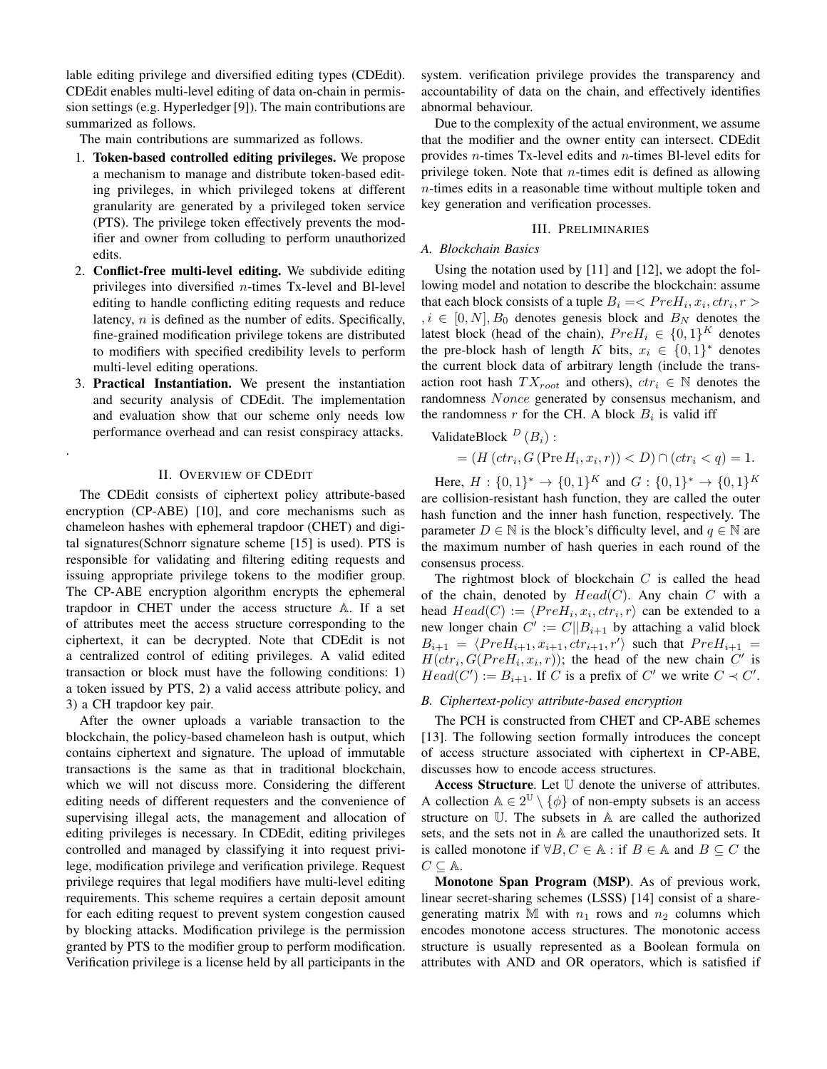lable editing privilege and diversified editing types (CDEdit). CDEdit enables multi-level editing of data on-chain in permission settings (e.g. Hyperledger [9]). The main contributions are summarized as follows.

The main contributions are summarized as follows.

- 1. Token-based controlled editing privileges. We propose a mechanism to manage and distribute token-based editing privileges, in which privileged tokens at different granularity are generated by a privileged token service (PTS). The privilege token effectively prevents the modifier and owner from colluding to perform unauthorized edits.
- 2. Conflict-free multi-level editing. We subdivide editing privileges into diversified  $n$ -times Tx-level and Bl-level editing to handle conflicting editing requests and reduce latency,  $n$  is defined as the number of edits. Specifically, fine-grained modification privilege tokens are distributed to modifiers with specified credibility levels to perform multi-level editing operations.
- 3. Practical Instantiation. We present the instantiation and security analysis of CDEdit. The implementation and evaluation show that our scheme only needs low performance overhead and can resist conspiracy attacks.

# II. OVERVIEW OF CDEDIT

.

The CDEdit consists of ciphertext policy attribute-based encryption (CP-ABE) [10], and core mechanisms such as chameleon hashes with ephemeral trapdoor (CHET) and digital signatures(Schnorr signature scheme [15] is used). PTS is responsible for validating and filtering editing requests and issuing appropriate privilege tokens to the modifier group. The CP-ABE encryption algorithm encrypts the ephemeral trapdoor in CHET under the access structure A. If a set of attributes meet the access structure corresponding to the ciphertext, it can be decrypted. Note that CDEdit is not a centralized control of editing privileges. A valid edited transaction or block must have the following conditions: 1) a token issued by PTS, 2) a valid access attribute policy, and 3) a CH trapdoor key pair.

After the owner uploads a variable transaction to the blockchain, the policy-based chameleon hash is output, which contains ciphertext and signature. The upload of immutable transactions is the same as that in traditional blockchain, which we will not discuss more. Considering the different editing needs of different requesters and the convenience of supervising illegal acts, the management and allocation of editing privileges is necessary. In CDEdit, editing privileges controlled and managed by classifying it into request privilege, modification privilege and verification privilege. Request privilege requires that legal modifiers have multi-level editing requirements. This scheme requires a certain deposit amount for each editing request to prevent system congestion caused by blocking attacks. Modification privilege is the permission granted by PTS to the modifier group to perform modification. Verification privilege is a license held by all participants in the

system. verification privilege provides the transparency and accountability of data on the chain, and effectively identifies abnormal behaviour.

Due to the complexity of the actual environment, we assume that the modifier and the owner entity can intersect. CDEdit provides n-times Tx-level edits and n-times Bl-level edits for privilege token. Note that  $n$ -times edit is defined as allowing n-times edits in a reasonable time without multiple token and key generation and verification processes.

## III. PRELIMINARIES

#### *A. Blockchain Basics*

Using the notation used by [11] and [12], we adopt the following model and notation to describe the blockchain: assume that each block consists of a tuple  $B_i = \langle PreH_i, x_i, ctr_i, r \rangle$  $, i \in [0, N], B_0$  denotes genesis block and  $B_N$  denotes the latest block (head of the chain),  $PreH_i \in \{0,1\}^K$  denotes the pre-block hash of length K bits,  $x_i \in \{0,1\}^*$  denotes the current block data of arbitrary length (include the transaction root hash  $TX_{root}$  and others),  $ctr_i \in \mathbb{N}$  denotes the randomness Nonce generated by consensus mechanism, and the randomness r for the CH. A block  $B_i$  is valid iff

ValidateBlock  $D(B_i)$ :

$$
= (H(ctr_i, G(Pre H_i, x_i, r)) < D) \cap (ctr_i < q) = 1.
$$

Here,  $H: \{0,1\}^* \to \{0,1\}^K$  and  $G: \{0,1\}^* \to \{0,1\}^K$ are collision-resistant hash function, they are called the outer hash function and the inner hash function, respectively. The parameter  $D \in \mathbb{N}$  is the block's difficulty level, and  $q \in \mathbb{N}$  are the maximum number of hash queries in each round of the consensus process.

The rightmost block of blockchain  $C$  is called the head of the chain, denoted by  $Head(C)$ . Any chain C with a head  $Head(C) := \langle PreH_i, x_i, ctr_i, r \rangle$  can be extended to a new longer chain  $C' := C||B_{i+1}$  by attaching a valid block  $B_{i+1} = \langle PreH_{i+1}, x_{i+1}, ctr_{i+1}, r' \rangle$  such that  $PreH_{i+1} =$  $H(ctr_i, G(PreH_i, x_i, r))$ ; the head of the new chain C' is  $Head(C') := B_{i+1}$ . If C is a prefix of C' we write  $C \prec C'$ .

#### *B. Ciphertext-policy attribute-based encryption*

The PCH is constructed from CHET and CP-ABE schemes [13]. The following section formally introduces the concept of access structure associated with ciphertext in CP-ABE, discusses how to encode access structures.

Access Structure. Let  $U$  denote the universe of attributes. A collection  $A \in 2^{\mathbb{U}} \setminus \{\phi\}$  of non-empty subsets is an access structure on U. The subsets in A are called the authorized sets, and the sets not in A are called the unauthorized sets. It is called monotone if  $\forall B, C \in \mathbb{A}$ : if  $B \in \mathbb{A}$  and  $B \subseteq C$  the  $C \subseteq \mathbb{A}$ .

Monotone Span Program (MSP). As of previous work, linear secret-sharing schemes (LSSS) [14] consist of a sharegenerating matrix M with  $n_1$  rows and  $n_2$  columns which encodes monotone access structures. The monotonic access structure is usually represented as a Boolean formula on attributes with AND and OR operators, which is satisfied if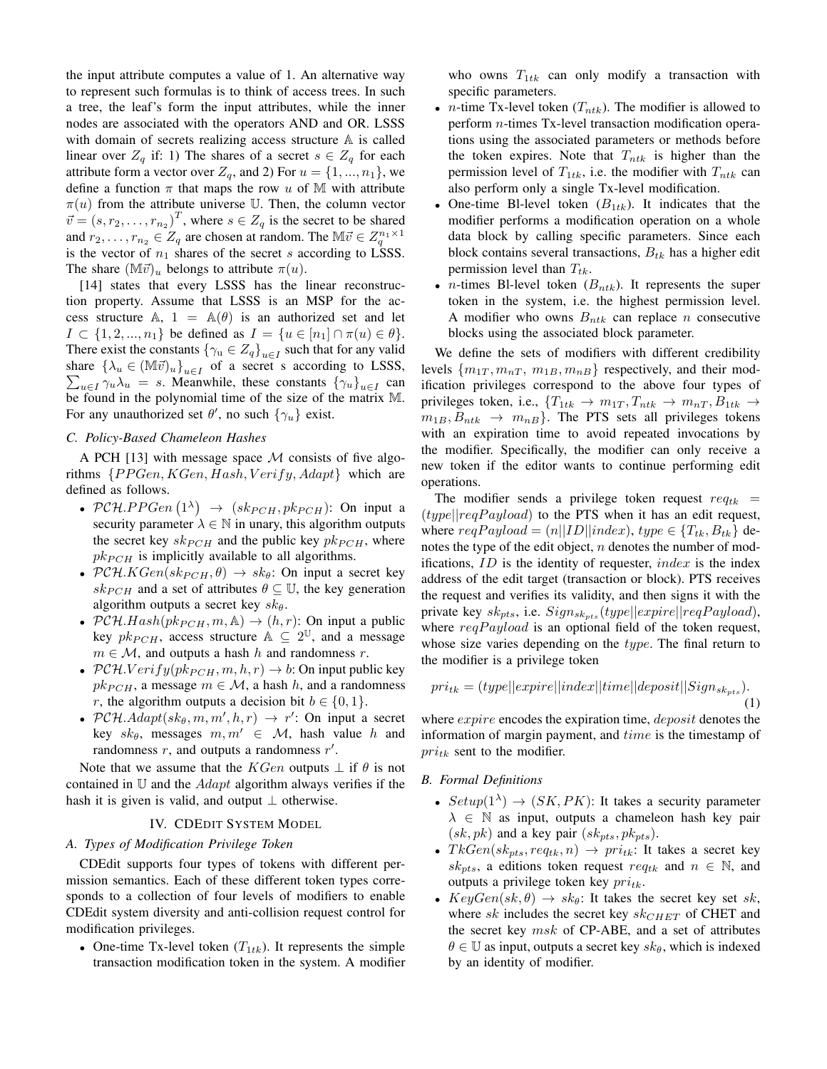the input attribute computes a value of 1. An alternative way to represent such formulas is to think of access trees. In such a tree, the leaf's form the input attributes, while the inner nodes are associated with the operators AND and OR. LSSS with domain of secrets realizing access structure A is called linear over  $Z_q$  if: 1) The shares of a secret  $s \in Z_q$  for each attribute form a vector over  $Z_q$ , and 2) For  $u = \{1, ..., n_1\}$ , we define a function  $\pi$  that maps the row u of M with attribute  $\pi(u)$  from the attribute universe U. Then, the column vector  $\vec{v} = (s, r_2, \dots, r_{n_2})^T$ , where  $s \in Z_q$  is the secret to be shared and  $r_2, \ldots, r_{n_2} \in Z_q$  are chosen at random. The  $\mathbb{M} \vec{v} \in Z_q^{n_1 \times 1}$ is the vector of  $n_1$  shares of the secret s according to LSSS. The share  $(\mathbb{M}\vec{v})_u$  belongs to attribute  $\pi(u)$ .

[14] states that every LSSS has the linear reconstruction property. Assume that LSSS is an MSP for the access structure A,  $1 = A(\theta)$  is an authorized set and let  $I \subset \{1, 2, ..., n_1\}$  be defined as  $I = \{u \in [n_1] \cap \pi(u) \in \theta\}.$ There exist the constants  $\{\gamma_u \in Z_q\}_{u \in I}$  such that for any valid share  $\{\lambda_u \in (\mathbb{M}\vec{v})_u\}_{u \in I}$  of a secret s according to LSSS,  $\sum_{u \in I} \gamma_u \lambda_u = s$ . Meanwhile, these constants  $\{\gamma_u\}_{u \in I}$  can be found in the polynomial time of the size of the matrix M. For any unauthorized set  $\theta'$ , no such  $\{\gamma_u\}$  exist.

## *C. Policy-Based Chameleon Hashes*

A PCH [13] with message space  $M$  consists of five algorithms  $\{PPGen, KGen, Hash, Verify, Adapt\}$  which are defined as follows.

- PCH.PPGen  $(1^{\lambda}) \rightarrow (sk_{PCH}, pk_{PCH})$ : On input a security parameter  $\lambda \in \mathbb{N}$  in unary, this algorithm outputs the secret key  $sk_{PCH}$  and the public key  $pk_{PCH}$ , where  $pk_{PCH}$  is implicitly available to all algorithms.
- PCH. $KGen(sk_{PCH}, \theta) \rightarrow sk_{\theta}$ : On input a secret key  $sk_{PCH}$  and a set of attributes  $\theta \subseteq \mathbb{U}$ , the key generation algorithm outputs a secret key  $sk_{\theta}$ .
- $PCH.Hash(pk_{PCH}, m, A) \rightarrow (h, r)$ : On input a public key  $pk_{PCH}$ , access structure  $\mathbb{A} \subseteq 2^{\mathbb{U}}$ , and a message  $m \in \mathcal{M}$ , and outputs a hash h and randomness r.
- $PCH.Verify(pk_{PCH}, m, h, r) \rightarrow b$ : On input public key  $pk_{PCH}$ , a message  $m \in \mathcal{M}$ , a hash h, and a randomness r, the algorithm outputs a decision bit  $b \in \{0, 1\}$ .
- PCH.  $Adapt(sk_{\theta}, m, m', h, r) \rightarrow r'$ : On input a secret key  $sk_{\theta}$ , messages  $m, m' \in \mathcal{M}$ , hash value h and randomness  $r$ , and outputs a randomness  $r'$ .

Note that we assume that the *KGen* outputs  $\perp$  if  $\theta$  is not contained in  $U$  and the *Adapt* algorithm always verifies if the hash it is given is valid, and output  $\perp$  otherwise.

## IV. CDEDIT SYSTEM MODEL

# *A. Types of Modification Privilege Token*

CDEdit supports four types of tokens with different permission semantics. Each of these different token types corresponds to a collection of four levels of modifiers to enable CDEdit system diversity and anti-collision request control for modification privileges.

• One-time Tx-level token  $(T_{1tk})$ . It represents the simple transaction modification token in the system. A modifier who owns  $T_{1tk}$  can only modify a transaction with specific parameters.

- *n*-time Tx-level token  $(T_{ntk})$ . The modifier is allowed to perform n-times Tx-level transaction modification operations using the associated parameters or methods before the token expires. Note that  $T_{ntk}$  is higher than the permission level of  $T_{1tk}$ , i.e. the modifier with  $T_{ntk}$  can also perform only a single Tx-level modification.
- One-time Bl-level token  $(B_{1tk})$ . It indicates that the modifier performs a modification operation on a whole data block by calling specific parameters. Since each block contains several transactions,  $B_{tk}$  has a higher edit permission level than  $T_{tk}$ .
- *n*-times Bl-level token  $(B_{ntk})$ . It represents the super token in the system, i.e. the highest permission level. A modifier who owns  $B_{ntk}$  can replace n consecutive blocks using the associated block parameter.

We define the sets of modifiers with different credibility levels  $\{m_{1T}, m_{nT}, m_{1B}, m_{nB}\}\$  respectively, and their modification privileges correspond to the above four types of privileges token, i.e.,  $\{T_{1tk} \rightarrow m_{1T}, T_{ntk} \rightarrow m_{nT}, B_{1tk} \rightarrow$  $m_{1B}, B_{ntk} \rightarrow m_{nB}$ . The PTS sets all privileges tokens with an expiration time to avoid repeated invocations by the modifier. Specifically, the modifier can only receive a new token if the editor wants to continue performing edit operations.

The modifier sends a privilege token request  $req_{tk}$  =  $(type||reqPayload)$  to the PTS when it has an edit request, where  $reqPayload = (n||ID||index)$ ,  $type \in \{T_{tk}, B_{tk}\}$  denotes the type of the edit object,  $n$  denotes the number of modifications,  $ID$  is the identity of requester,  $index$  is the index address of the edit target (transaction or block). PTS receives the request and verifies its validity, and then signs it with the private key  $sk_{pts}$ , i.e.  $Sign_{sk_{pts}}(type||expire||reqPayload)$ , where  $reqPayload$  is an optional field of the token request, whose size varies depending on the type. The final return to the modifier is a privilege token

$$
pri_{tk} = (type||expr||index||time||deposit||Sign_{sk_{pts}}).
$$
\n(1)

where *expire* encodes the expiration time, *deposit* denotes the information of margin payment, and time is the timestamp of  $pri<sub>tk</sub>$  sent to the modifier.

- *B. Formal Definitions*
	- $Setup(1^{\lambda}) \rightarrow (SK, PK)$ : It takes a security parameter  $\lambda \in \mathbb{N}$  as input, outputs a chameleon hash key pair  $(sk, pk)$  and a key pair  $(sk_{pts}, pk_{pts})$ .
	- $TkGen(sk_{pts}, req_{tk}, n) \rightarrow pri_{tk}$ : It takes a secret key  $sk_{pts}$ , a editions token request  $req_{tk}$  and  $n \in \mathbb{N}$ , and outputs a privilege token key  $pri_{tk}$ .
	- $KeyGen(sk, \theta) \rightarrow sk_{\theta}$ : It takes the secret key set sk, where sk includes the secret key  $sk_{CHET}$  of CHET and the secret key msk of CP-ABE, and a set of attributes  $\theta \in \mathbb{U}$  as input, outputs a secret key  $sk_{\theta}$ , which is indexed by an identity of modifier.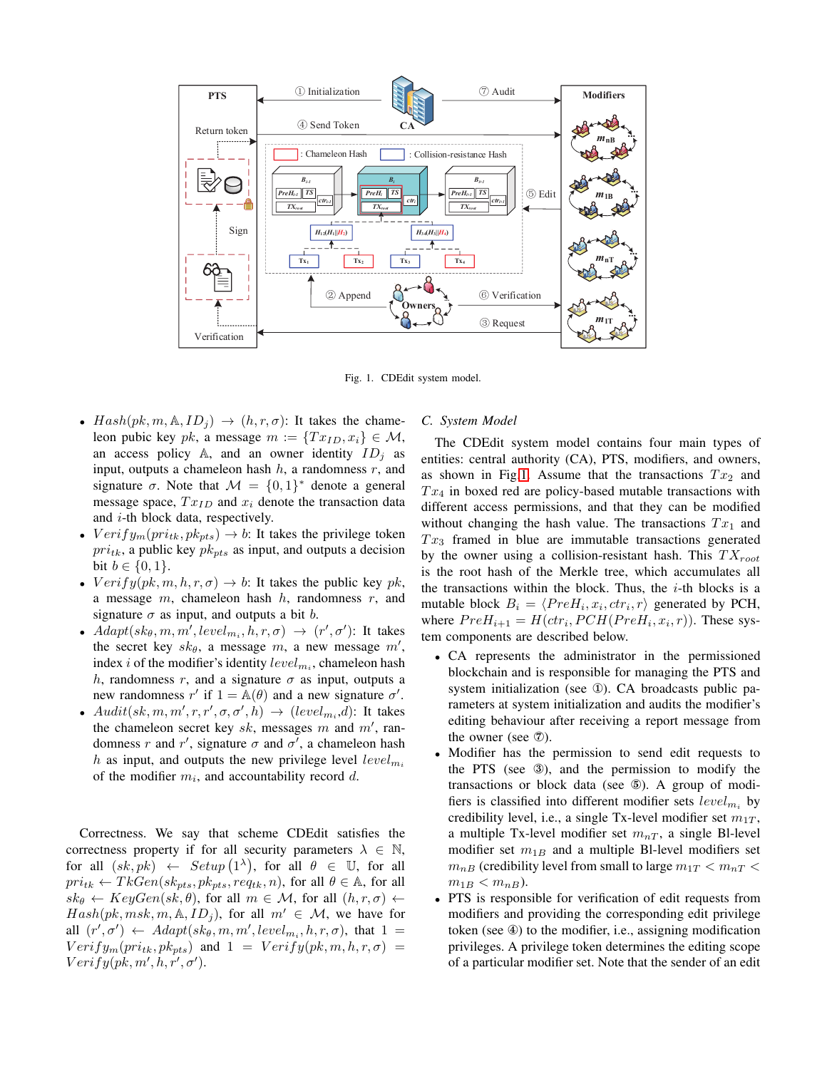

<span id="page-3-0"></span>Fig. 1. CDEdit system model.

- $Hash(pk, m, \mathbb{A}, ID_j) \rightarrow (h, r, \sigma)$ : It takes the chameleon pubic key pk, a message  $m := \{Tx_{ID}, x_i\} \in \mathcal{M}$ , an access policy A, and an owner identity  $ID_i$  as input, outputs a chameleon hash  $h$ , a randomness  $r$ , and signature  $\sigma$ . Note that  $\mathcal{M} = \{0, 1\}^*$  denote a general message space,  $Tx_{ID}$  and  $x_i$  denote the transaction data and *i*-th block data, respectively.
- $Verify_m(pri_{tk}, pk_{pts}) \rightarrow b$ : It takes the privilege token  $pri<sub>tk</sub>$ , a public key  $pk<sub>pts</sub>$  as input, and outputs a decision bit  $b \in \{0, 1\}$ .
- $Verify(pk, m, h, r, \sigma) \rightarrow b$ : It takes the public key pk, a message  $m$ , chameleon hash  $h$ , randomness  $r$ , and signature  $\sigma$  as input, and outputs a bit b.
- $Adapt(sk_{\theta}, m, m', level_{m_i}, h, r, \sigma) \rightarrow (r', \sigma')$ : It takes the secret key  $sk_{\theta}$ , a message m, a new message m', index *i* of the modifier's identity  $level_{m_i}$ , chameleon hash h, randomness r, and a signature  $\sigma$  as input, outputs a new randomness r' if  $1 = \mathbb{A}(\theta)$  and a new signature  $\sigma'$ .
- $Audit(sk, m, m', r, r', \sigma, \sigma', h) \rightarrow (level_{m_i}, d)$ : It takes the chameleon secret key  $sk$ , messages m and m', randomness r and r', signature  $\sigma$  and  $\sigma'$ , a chameleon hash h as input, and outputs the new privilege level  $level_{m_i}$ of the modifier  $m_i$ , and accountability record d.

Correctness. We say that scheme CDEdit satisfies the correctness property if for all security parameters  $\lambda \in \mathbb{N}$ , for all  $(sk, pk) \leftarrow Setup(1^{\lambda})$ , for all  $\theta \in \mathbb{U}$ , for all  $pri_{tk} \leftarrow TkGen(sk_{pts}, pk_{pts}, req_{tk}, n)$ , for all  $\theta \in A$ , for all  $sk_{\theta} \leftarrow KeyGen(sk, \theta)$ , for all  $m \in \mathcal{M}$ , for all  $(h, r, \sigma) \leftarrow$  $Hash(pk, msk, m, \mathbb{A}, ID<sub>i</sub>)$ , for all  $m' \in \mathcal{M}$ , we have for all  $(r', \sigma') \leftarrow Adapt(sk_{\theta}, m, m', level_{m_i}, h, r, \sigma)$ , that  $1 =$  $Verify_m(pri_{tk}, pk_{pts})$  and  $1 = Verify(pk, m, h, r, \sigma) =$  $Verify(pk, m', h, r', \sigma').$ 

## *C. System Model*

The CDEdit system model contains four main types of entities: central authority (CA), PTS, modifiers, and owners, as shown in Fig[.1.](#page-3-0) Assume that the transactions  $Tx_2$  and  $Tx_4$  in boxed red are policy-based mutable transactions with different access permissions, and that they can be modified without changing the hash value. The transactions  $Tx_1$  and  $Tx_3$  framed in blue are immutable transactions generated by the owner using a collision-resistant hash. This  $TX_{root}$ is the root hash of the Merkle tree, which accumulates all the transactions within the block. Thus, the  $i$ -th blocks is a mutable block  $B_i = \langle PreH_i, x_i, ctr_i, r \rangle$  generated by PCH, where  $PreH_{i+1} = H(ctr_i, PCH(PreH_i, x_i, r))$ . These system components are described below.

- CA represents the administrator in the permissioned blockchain and is responsible for managing the PTS and system initialization (see ①). CA broadcasts public parameters at system initialization and audits the modifier's editing behaviour after receiving a report message from the owner (see ⑦).
- Modifier has the permission to send edit requests to the PTS (see ③), and the permission to modify the transactions or block data (see ⑤). A group of modifiers is classified into different modifier sets  $level_{m_i}$  by credibility level, i.e., a single Tx-level modifier set  $m_{1T}$ , a multiple Tx-level modifier set  $m_{nT}$ , a single Bl-level modifier set  $m_{1B}$  and a multiple Bl-level modifiers set  $m_{nB}$  (credibility level from small to large  $m_{1T} < m_{nT} <$  $m_{1B} < m_{nB}$ ).
- PTS is responsible for verification of edit requests from modifiers and providing the corresponding edit privilege token (see ④) to the modifier, i.e., assigning modification privileges. A privilege token determines the editing scope of a particular modifier set. Note that the sender of an edit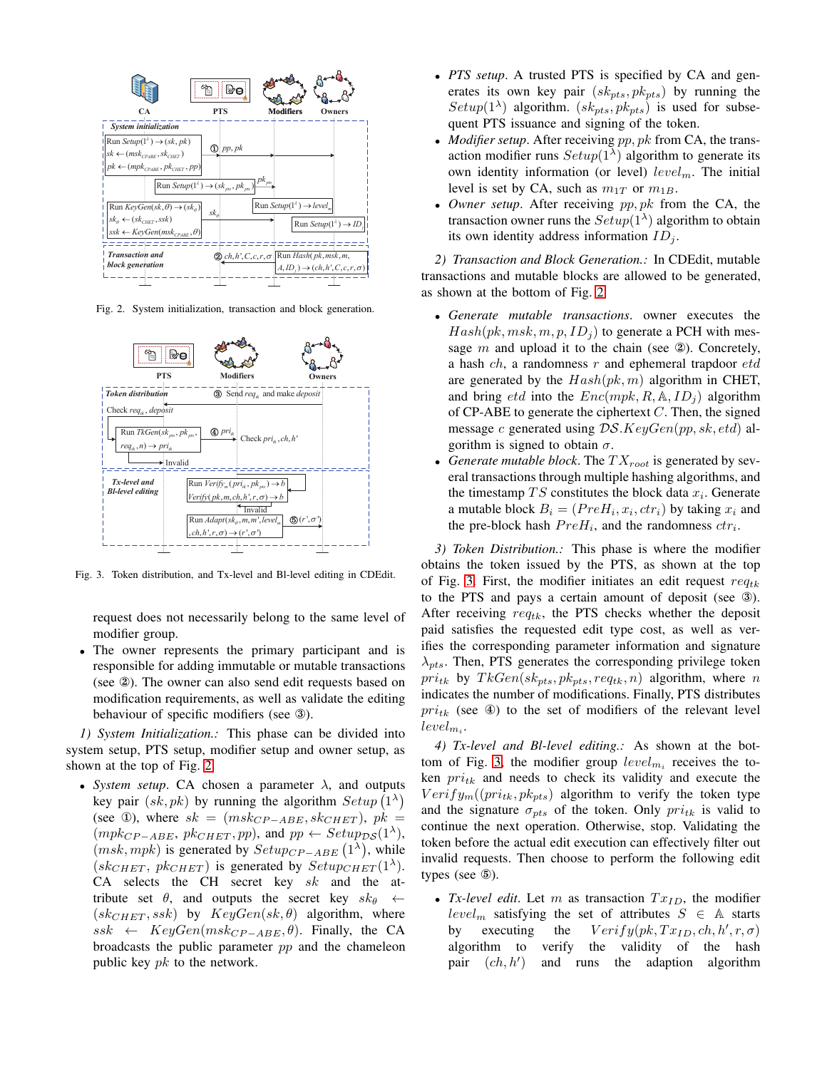

<span id="page-4-0"></span>Fig. 2. System initialization, transaction and block generation.



Fig. 3. Token distribution, and Tx-level and Bl-level editing in CDEdit.

<span id="page-4-1"></span>request does not necessarily belong to the same level of modifier group.

• The owner represents the primary participant and is responsible for adding immutable or mutable transactions (see ②). The owner can also send edit requests based on modification requirements, as well as validate the editing behaviour of specific modifiers (see ③).

*1) System Initialization.:* This phase can be divided into system setup, PTS setup, modifier setup and owner setup, as shown at the top of Fig. [2.](#page-4-0)

• *System setup*. CA chosen a parameter  $\lambda$ , and outputs key pair  $(sk, pk)$  by running the algorithm  $Setup(1^{\lambda})$ (see ①), where  $sk = (msk_{CP-ABE}, sk_{CHET})$ ,  $pk =$  $(mpk_{CP-ABE}, pk_{CHET}, pp)$ , and  $pp \leftarrow Setup_{DS}(1^{\lambda})$ ,  $(msk, mpk)$  is generated by  $Setup_{CP-ABE}(1^{\lambda})$ , while  $(sk_{CHET}, p k_{CHET})$  is generated by  $Setup_{CHET}(1^{\lambda})$ . CA selects the CH secret key  $sk$  and the attribute set  $\theta$ , and outputs the secret key  $sk_{\theta} \leftarrow$  $(sk_{CHET}, ssk)$  by  $KeyGen(sk, \theta)$  algorithm, where  $ssk \leftarrow KeyGen(msk_{CP-ABE}, \theta)$ . Finally, the CA broadcasts the public parameter pp and the chameleon public key  $pk$  to the network.

- *PTS setup*. A trusted PTS is specified by CA and generates its own key pair  $(s k_{nts}, p k_{nts})$  by running the  $Setup(1^{\lambda})$  algorithm.  $(sk_{pts}, pk_{pts})$  is used for subsequent PTS issuance and signing of the token.
- *Modifier setup*. After receiving  $pp, pk$  from CA, the transaction modifier runs  $Setup(1^{\lambda})$  algorithm to generate its own identity information (or level) level<sub>m</sub>. The initial level is set by CA, such as  $m_{1T}$  or  $m_{1B}$ .
- *Owner setup*. After receiving pp, pk from the CA, the transaction owner runs the  $Setup(1^{\lambda})$  algorithm to obtain its own identity address information  $ID_i$ .

*2) Transaction and Block Generation.:* In CDEdit, mutable transactions and mutable blocks are allowed to be generated, as shown at the bottom of Fig. [2.](#page-4-0)

- *Generate mutable transactions*. owner executes the  $Hash(pk, msk, m, p, ID<sub>i</sub>)$  to generate a PCH with message  $m$  and upload it to the chain (see  $\circledA$ ). Concretely, a hash  $ch$ , a randomness  $r$  and ephemeral trapdoor  $etd$ are generated by the  $Hash(pk, m)$  algorithm in CHET, and bring *etd* into the  $Enc(mpk, R, \mathbb{A}, ID<sub>i</sub>)$  algorithm of CP-ABE to generate the ciphertext  $C$ . Then, the signed message c generated using  $DS. KeyGen(pp, sk, etd)$  algorithm is signed to obtain  $\sigma$ .
- *Generate mutable block*. The  $TX_{root}$  is generated by several transactions through multiple hashing algorithms, and the timestamp  $TS$  constitutes the block data  $x_i$ . Generate a mutable block  $B_i = (PreH_i, x_i, ctr_i)$  by taking  $x_i$  and the pre-block hash  $PreH_i$ , and the randomness  $ctr_i$ .

*3) Token Distribution.:* This phase is where the modifier obtains the token issued by the PTS, as shown at the top of Fig. [3.](#page-4-1) First, the modifier initiates an edit request  $req_{tk}$ to the PTS and pays a certain amount of deposit (see ③). After receiving  $req_{tk}$ , the PTS checks whether the deposit paid satisfies the requested edit type cost, as well as verifies the corresponding parameter information and signature  $\lambda_{nts}$ . Then, PTS generates the corresponding privilege token  $pri_{tk}$  by  $TkGen(sk_{pts}, pk_{pts}, req_{tk}, n)$  algorithm, where n indicates the number of modifications. Finally, PTS distributes  $pri<sub>tk</sub>$  (see 4) to the set of modifiers of the relevant level  $level_{m_i}.$ 

*4) Tx-level and Bl-level editing.:* As shown at the bot-tom of Fig. [3,](#page-4-1) the modifier group  $level_{m_i}$  receives the token  $pri_{tk}$  and needs to check its validity and execute the  $Verify_m((pri_{tk}, pk_{pts})$  algorithm to verify the token type and the signature  $\sigma_{pts}$  of the token. Only  $pri_{tk}$  is valid to continue the next operation. Otherwise, stop. Validating the token before the actual edit execution can effectively filter out invalid requests. Then choose to perform the following edit types (see ⑤).

• *Tx-level edit*. Let  $m$  as transaction  $Tx_{ID}$ , the modifier  $level_m$  satisfying the set of attributes  $S \in A$  starts by executing the  $Verify(pk, Tx_{ID}, ch, h', r, \sigma)$ algorithm to verify the validity of the hash pair  $(ch, h')$ ) and runs the adaption algorithm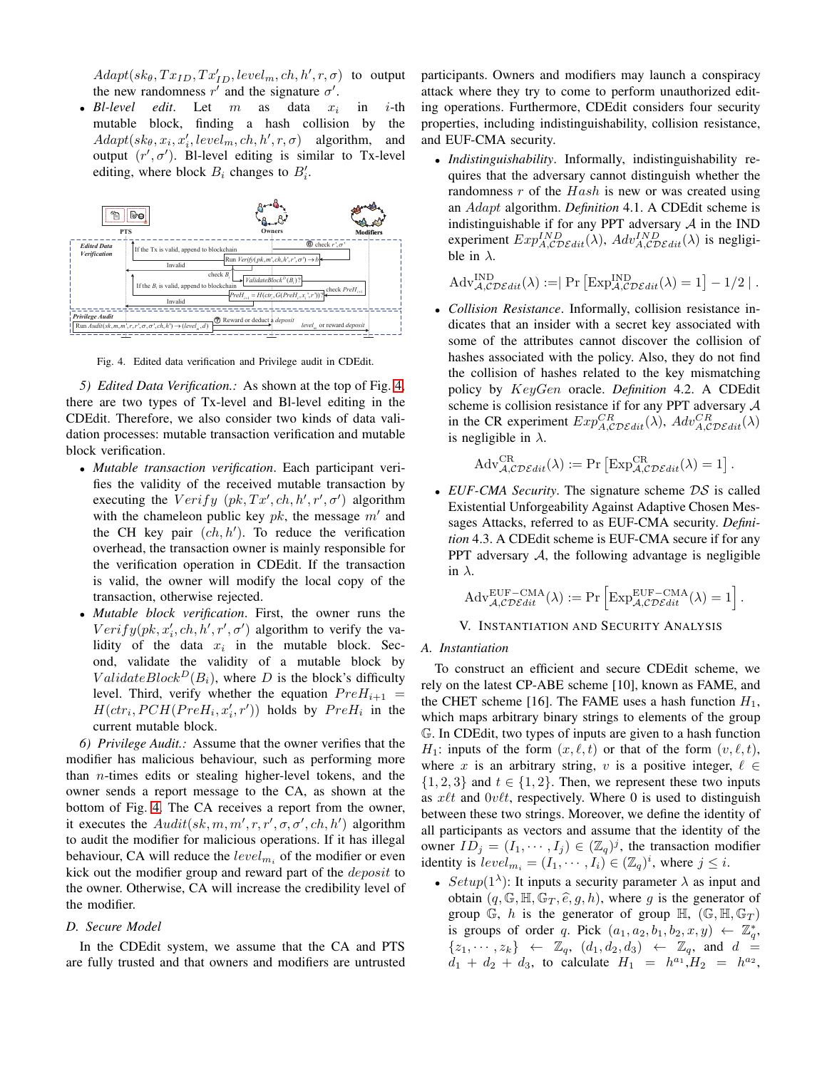$Adapt(sk_{\theta}, Tx_{ID}, Tx'_{ID}, level_m, ch, h', r, \sigma)$  to output the new randomness  $r'$  and the signature  $\sigma'$ .

• *Bl-level edit*. Let  $m$  as data  $x_i$  $i$ -th mutable block, finding a hash collision by the  $Adapt(sk_{\theta}, x_i, x'_i, level_m, ch, h', r, \sigma)$  algorithm, and output  $(r', \sigma')$ . Bl-level editing is similar to Tx-level editing, where block  $B_i$  changes to  $B'_i$ .



<span id="page-5-0"></span>Fig. 4. Edited data verification and Privilege audit in CDEdit.

*5) Edited Data Verification.:* As shown at the top of Fig. [4,](#page-5-0) there are two types of Tx-level and Bl-level editing in the CDEdit. Therefore, we also consider two kinds of data validation processes: mutable transaction verification and mutable block verification.

- *Mutable transaction verification*. Each participant verifies the validity of the received mutable transaction by executing the  $Verify (pk, Tx', ch, h', r', \sigma')$  algorithm with the chameleon public key  $pk$ , the message  $m'$  and the CH key pair  $(ch, h')$ . To reduce the verification overhead, the transaction owner is mainly responsible for the verification operation in CDEdit. If the transaction is valid, the owner will modify the local copy of the transaction, otherwise rejected.
- *Mutable block verification*. First, the owner runs the  $Verify(pk, x'_i, ch, h', r', \sigma')$  algorithm to verify the validity of the data  $x_i$  in the mutable block. Second, validate the validity of a mutable block by  $ValidateBlock<sup>D</sup>(B<sub>i</sub>)$ , where D is the block's difficulty level. Third, verify whether the equation  $PreH_{i+1}$  =  $H(ctr_i, PCH(PreH_i, x'_i, r'))$  holds by  $PreH_i$  in the current mutable block.

*6) Privilege Audit.:* Assume that the owner verifies that the modifier has malicious behaviour, such as performing more than  $n$ -times edits or stealing higher-level tokens, and the owner sends a report message to the CA, as shown at the bottom of Fig. [4.](#page-5-0) The CA receives a report from the owner, it executes the  $\text{Audit}(sk, m, m', r, r', \sigma, \sigma', ch, h')$  algorithm to audit the modifier for malicious operations. If it has illegal behaviour, CA will reduce the  $level_{m_i}$  of the modifier or even kick out the modifier group and reward part of the *deposit* to the owner. Otherwise, CA will increase the credibility level of the modifier.

#### *D. Secure Model*

In the CDEdit system, we assume that the CA and PTS are fully trusted and that owners and modifiers are untrusted participants. Owners and modifiers may launch a conspiracy attack where they try to come to perform unauthorized editing operations. Furthermore, CDEdit considers four security properties, including indistinguishability, collision resistance, and EUF-CMA security.

• *Indistinguishability*. Informally, indistinguishability requires that the adversary cannot distinguish whether the randomness  $r$  of the  $Hash$  is new or was created using an Adapt algorithm. *Definition* 4.1. A CDEdit scheme is indistinguishable if for any PPT adversary  $A$  in the IND experiment  $Exp_{A, \mathcal{CD}\mathcal{E}dit}^{IND}(\lambda)$ ,  $Adv_{A, \mathcal{CD}\mathcal{E}dit}^{IND}(\lambda)$  is negligible in  $\lambda$ .

$$
Adv_{\mathcal{A}, \mathcal{CDE}dit}^{\text{IND}}(\lambda) := \mid Pr \left[ Exp_{\mathcal{A}, \mathcal{CDE}dit}^{\text{IND}}(\lambda) = 1 \right] - 1/2 \mid .
$$

• *Collision Resistance*. Informally, collision resistance indicates that an insider with a secret key associated with some of the attributes cannot discover the collision of hashes associated with the policy. Also, they do not find the collision of hashes related to the key mismatching policy by KeyGen oracle. *Definition* 4.2. A CDEdit scheme is collision resistance if for any PPT adversary A in the CR experiment  $Exp_{A,\mathcal{CDE}}^{CR}(\lambda)$ ,  $Adv_{A,\mathcal{CDE}}^{CR}(\lambda)$ is negligible in  $\lambda$ .

$$
Adv_{\mathcal{A}, \mathcal{CDE}dit}^{\operatorname{CR}}(\lambda) := \Pr \left[ \operatorname{Exp}_{\mathcal{A}, \mathcal{CDE}dit}^{\operatorname{CR}}(\lambda) = 1 \right].
$$

• *EUF-CMA Security*. The signature scheme  $DS$  is called Existential Unforgeability Against Adaptive Chosen Messages Attacks, referred to as EUF-CMA security. *Definition* 4.3. A CDEdit scheme is EUF-CMA secure if for any PPT adversary  $A$ , the following advantage is negligible in  $\lambda$ .

$$
Adv_{\mathcal{A}, \mathcal{CDE}^{dit}}^{\text{EUF}-\text{CMA}}(\lambda) := \Pr \left[ \text{Exp}_{\mathcal{A}, \mathcal{CDE}^{dit}}^{\text{EUF}-\text{CMA}}(\lambda) = 1 \right].
$$

#### V. INSTANTIATION AND SECURITY ANALYSIS

#### *A. Instantiation*

To construct an efficient and secure CDEdit scheme, we rely on the latest CP-ABE scheme [10], known as FAME, and the CHET scheme [16]. The FAME uses a hash function  $H_1$ , which maps arbitrary binary strings to elements of the group G. In CDEdit, two types of inputs are given to a hash function  $H_1$ : inputs of the form  $(x, \ell, t)$  or that of the form  $(v, \ell, t)$ , where x is an arbitrary string, v is a positive integer,  $\ell \in$  $\{1, 2, 3\}$  and  $t \in \{1, 2\}$ . Then, we represent these two inputs as  $x\ell t$  and  $0\nu\ell t$ , respectively. Where 0 is used to distinguish between these two strings. Moreover, we define the identity of all participants as vectors and assume that the identity of the owner  $ID_j = (I_1, \dots, I_j) \in (\mathbb{Z}_q)^j$ , the transaction modifier identity is  $level_{m_i} = (I_1, \dots, I_i) \in (\mathbb{Z}_q)^i$ , where  $j \leq i$ .

• Setup( $1^{\lambda}$ ): It inputs a security parameter  $\lambda$  as input and obtain  $(q, \mathbb{G}, \mathbb{H}, \mathbb{G}_T, \hat{e}, g, h)$ , where g is the generator of group G, h is the generator of group  $\mathbb{H}$ ,  $(\mathbb{G}, \mathbb{H}, \mathbb{G}_T)$ is groups of order q. Pick  $(a_1, a_2, b_1, b_2, x, y) \leftarrow \mathbb{Z}_q^*$ ,  $\{z_1, \dots, z_k\} \leftarrow \mathbb{Z}_q$ ,  $(d_1, d_2, d_3) \leftarrow \mathbb{Z}_q$ , and  $d =$  $d_1 + d_2 + d_3$ , to calculate  $H_1 = h^{a_1}, H_2 = h^{a_2},$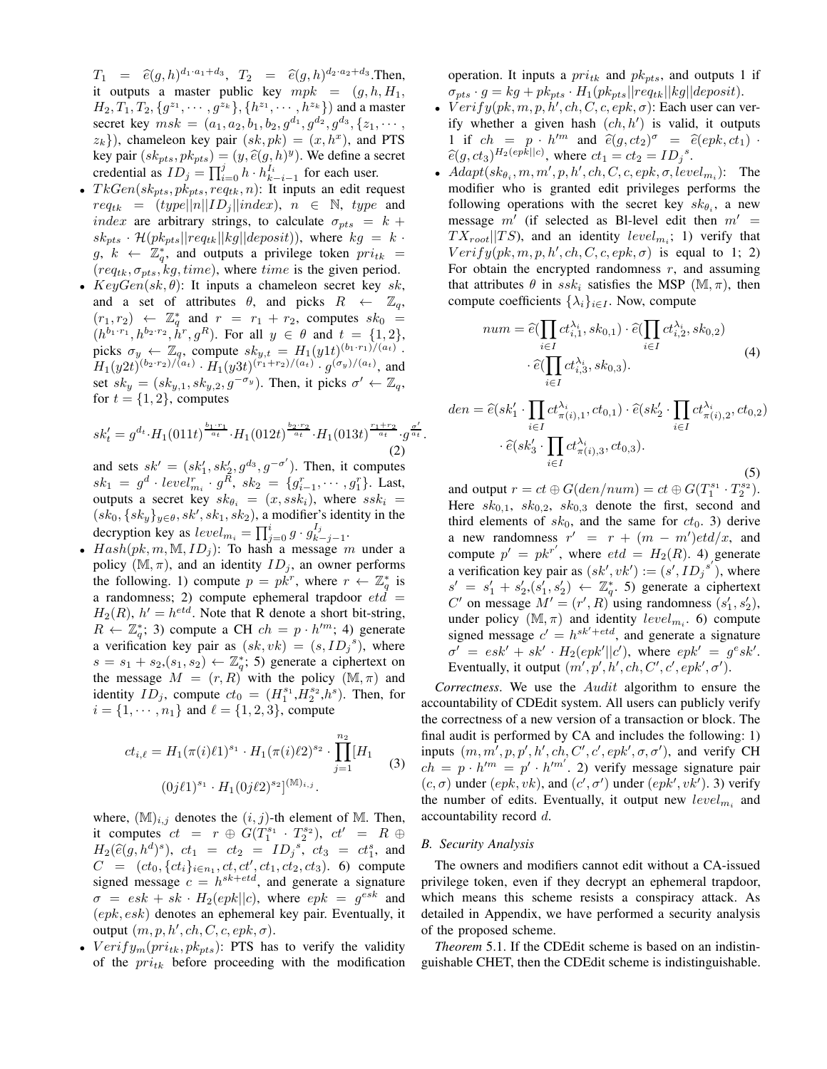$T_1 = \hat{e}(g, h)^{d_1 \cdot a_1 + d_3}, T_2 = \hat{e}(g, h)^{d_2 \cdot a_2 + d_3}.$  Then, it outputs a master public key  $mpk = (g, h, H_1,$  $H_2, T_1, T_2, \{g^{z_1}, \cdots, g^{z_k}\}, \{h^{z_1}, \cdots, h^{z_k}\}\)$  and a master secret key  $msk = (a_1, a_2, b_1, b_2, g^{d_1}, g^{d_2}, g^{d_3}, \{z_1, \cdots,$  $(z_k)$ , chameleon key pair  $(sk, pk) = (x, h<sup>x</sup>)$ , and PTS key pair  $(sk_{pts}, pk_{pts}) = (y, \hat{e}(g, h)^y)$ . We define a secret credential as  $ID_j = \prod_{i=0}^{j} h \cdot h_{k-i-1}^{I_i}$  for each user.

- $TkGen(sk_{pts}, pk_{pts}, req_{tk}, n)$ : It inputs an edit request  $req_{tk}$  =  $(type||n||ID_j||index)$ ,  $n \in \mathbb{N}$ , type and index are arbitrary strings, to calculate  $\sigma_{pts} = k +$  $sk_{pts} \cdot \mathcal{H}(pk_{pts} || req_{tk} || kg || deposit)),$  where  $kg = k \cdot$  $g, k \leftarrow \mathbb{Z}_q^*$ , and outputs a privilege token  $pri_{tk}$  =  $(req_{tk}, \sigma_{pts}, kg, time)$ , where time is the given period.
- $KeyGen(sk, \theta)$ : It inputs a chameleon secret key sk, and a set of attributes  $\theta$ , and picks  $R \leftarrow \mathbb{Z}_q$ ,  $(r_1, r_2) \leftarrow \mathbb{Z}_q^*$  and  $r = r_1 + r_2$ , computes  $sk_0 =$  $(h^{b_1 \cdot r_1}, h^{b_2 \cdot r_2}, \hat{h}^r, g^R)$ . For all  $y \in \theta$  and  $t = \{1, 2\},$ picks  $\sigma_y \leftarrow \mathbb{Z}_q$ , compute  $sk_{y,t} = H_1(y1t)^{(b_1 \cdot r_1)/(a_t)}$ .  $H_1(y2t)^{(b_2 \cdot r_2)/(a_t)} \cdot H_1(y3t)^{(r_1+r_2)/(a_t)} \cdot g^{(\sigma_y)/(a_t)}$ , and set  $sk_y = (sk_{y,1}, sk_{y,2}, g^{-\sigma_y})$ . Then, it picks  $\sigma' \leftarrow \mathbb{Z}_q$ , for  $t = \{1, 2\}$ , computes

$$
sk'_t = g^{d_t} \cdot H_1(011t)^{\frac{b_1 \cdot r_1}{a_t}} \cdot H_1(012t)^{\frac{b_2 \cdot r_2}{a_t}} \cdot H_1(013t)^{\frac{r_1+r_2}{a_t}} \cdot g^{\frac{\sigma'}{a_t}}.
$$
\n<sup>(2)</sup>

and sets  $sk' = (sk'_1, sk'_2, g^{d_3}, g^{-\sigma'})$ . Then, it computes  $sk_1 = g^d \cdot level_{m_i}^r \cdot g^R$ ,  $sk_2 = \{g_{i-1}^r, \dots, g_1^r\}$ . Last, outputs a secret key  $sk_{\theta_i} = (x, ssk_i)$ , where  $ssk_i$  $(sk_0, \{sk_y\}_{y \in \theta}, sk', sk_1, sk_2)$ , a modifier's identity in the decryption key as  $level_{m_i} = \prod_{j=0}^{i} g \cdot g_k^{I_j}$  $\frac{1}{k-j-1}$ .

•  $Hash(pk, m, M, ID<sub>j</sub>)$ : To hash a message m under a policy  $(M, \pi)$ , and an identity  $ID_i$ , an owner performs the following. 1) compute  $p = p\kappa^r$ , where  $r \leftarrow \mathbb{Z}_q^*$  is a randomness; 2) compute ephemeral trapdoor  $et\hat{d}$  =  $H_2(R)$ ,  $h' = h^{etd}$ . Note that R denote a short bit-string,  $R \leftarrow \mathbb{Z}_q^*$ ; 3) compute a CH  $ch = p \cdot h'^m$ ; 4) generate a verification key pair as  $(sk, vk) = (s, ID<sub>j</sub><sup>s</sup>)$ , where  $s = s_1 + s_2$ ,  $(s_1, s_2) \leftarrow \mathbb{Z}_q^*$ ; 5) generate a ciphertext on the message  $M = (r, R)$  with the policy  $(M, \pi)$  and identity  $ID_j$ , compute  $ct_0 = (H_1^{s_1}, H_2^{s_2}, h^s)$ . Then, for  $i = \{1, \dots, n_1\}$  and  $\ell = \{1, 2, 3\}$ , compute

$$
ct_{i,\ell} = H_1(\pi(i)\ell 1)^{s_1} \cdot H_1(\pi(i)\ell 2)^{s_2} \cdot \prod_{j=1}^{n_2} [H_1
$$
  
(3)  

$$
(0j\ell 1)^{s_1} \cdot H_1(0j\ell 2)^{s_2}]^{(\mathbb{M})_{i,j}}.
$$

where,  $(\mathbb{M})_{i,j}$  denotes the  $(i, j)$ -th element of M. Then, it computes  $ct = r \oplus G(T_1^{s_1} \cdot T_2^{s_2}), ct' = R \oplus$  $H_2(\hat{e}(g, h^d)^s)$ ,  $ct_1 = ct_2 = ID_j^s$ ,  $ct_3 = ct_1^s$ , and  $C = (ct_0, \{ct_i\}_{i \in n_1}, ct, ct', ct_1, ct_2, ct_3)$ . 6) compute signed message  $c = h^{sk + etd}$ , and generate a signature  $\sigma = e s k + s k \cdot H_2(e p k || c)$ , where  $e p k = g^{e s k}$  and  $(epk, esk)$  denotes an ephemeral key pair. Eventually, it output  $(m, p, h', ch, C, c, epk, \sigma)$ .

•  $Verify_m(pri_{tk}, pk_{pts})$ : PTS has to verify the validity of the  $pri_{tk}$  before proceeding with the modification operation. It inputs a  $pri_{tk}$  and  $pk_{pts}$ , and outputs 1 if  $\sigma_{pts} \cdot g = kg + pk_{pts} \cdot H_1(pk_{pts} || req_{tk} || kg || deposit).$ 

- $Verify(pk, m, p, h', ch, C, c, epk, \sigma)$ : Each user can verify whether a given hash  $(ch, h')$  is valid, it outputs 1 if  $ch = p \cdot h'^m$  and  $\hat{e}(g, ct_2)^\sigma = \hat{e}(epk, ct_1) \cdot$  $\hat{e}(g, ct_3)$ <sup>H<sub>2</sub>(epk||c)</sup>, where  $ct_1 = ct_2 = ID_j^s$ .
- $Adapt(sk_{\theta_i}, m, m', p, h', ch, C, c, epk, \sigma, level_{m_i})$ : The modifier who is granted edit privileges performs the following operations with the secret key  $sk_{\theta_i}$ , a new message  $m'$  (if selected as BI-level edit then  $m' =$  $TX_{root}$ ||TS), and an identity  $level_{m_i}$ ; 1) verify that  $Verify(pk, m, p, h', ch, C, c, epk, \sigma)$  is equal to 1; 2) For obtain the encrypted randomness  $r$ , and assuming that attributes  $\theta$  in ssk<sub>i</sub> satisfies the MSP (M,  $\pi$ ), then compute coefficients  $\{\lambda_i\}_{i\in I}$ . Now, compute

$$
num = \widehat{e}(\prod_{i \in I} ct_{i,1}^{\lambda_i}, sk_{0,1}) \cdot \widehat{e}(\prod_{i \in I} ct_{i,2}^{\lambda_i}, sk_{0,2})
$$

$$
\cdot \widehat{e}(\prod_{i \in I} ct_{i,3}^{\lambda_i}, sk_{0,3}).
$$
\n(4)

$$
den = \widehat{e}(sk'_1 \cdot \prod_{i \in I} ct^{\lambda_i}_{\pi(i),1}, ct_{0,1}) \cdot \widehat{e}(sk'_2 \cdot \prod_{i \in I} ct^{\lambda_i}_{\pi(i),2}, ct_{0,2})
$$

$$
\cdot \widehat{e}(sk'_3 \cdot \prod_{i \in I} ct^{\lambda_i}_{\pi(i),3}, ct_{0,3}).
$$
\n(5)

and output  $r = ct \oplus G(den/num) = ct \oplus G(T_1^{s_1} \cdot T_2^{s_2})$ . Here  $sk_{0,1}$ ,  $sk_{0,2}$ ,  $sk_{0,3}$  denote the first, second and third elements of  $sk_0$ , and the same for  $ct_0$ . 3) derive a new randomness  $r' = r + (m - m')et d/x$ , and compute  $p' = p k^{r'}$ , where  $etd = H_2(R)$ . 4) generate a verification key pair as  $(sk', vk') := (s', ID_j^{s'})$ , where  $s' = s'_1 + s'_2$ ,  $(s'_1, s'_2) \leftarrow \mathbb{Z}_q^*$ . 5) generate a ciphertext C' on message  $M' = (r', R)$  using randomness  $(s'_1, s'_2)$ , under policy  $(M, \pi)$  and identity level<sub>m<sub>i</sub></sub>. 6) compute signed message  $c' = h^{sk'+etd}$ , and generate a signature  $\sigma' = e s k' + s k' \cdot H_2(epk'||c'), \text{ where } ep k' = g^e s k'.$ Eventually, it output  $(m', p', h', ch, C', c', epk', \sigma')$ .

*Correctness*. We use the Audit algorithm to ensure the accountability of CDEdit system. All users can publicly verify the correctness of a new version of a transaction or block. The final audit is performed by CA and includes the following: 1) inputs  $(m, m', p, p', h', ch, C', c', epk', \sigma, \sigma')$ , and verify CH  $ch = p \cdot h^{\prime m} = p^{\prime} \cdot h^{\prime m^{\prime}}$ . 2) verify message signature pair  $(c, \sigma)$  under  $(epk, vk)$ , and  $(c', \sigma')$  under  $(epk', vk')$ . 3) verify the number of edits. Eventually, it output new  $level_{m_i}$  and accountability record d.

## *B. Security Analysis*

The owners and modifiers cannot edit without a CA-issued privilege token, even if they decrypt an ephemeral trapdoor, which means this scheme resists a conspiracy attack. As detailed in Appendix, we have performed a security analysis of the proposed scheme.

*Theorem* 5.1. If the CDEdit scheme is based on an indistinguishable CHET, then the CDEdit scheme is indistinguishable.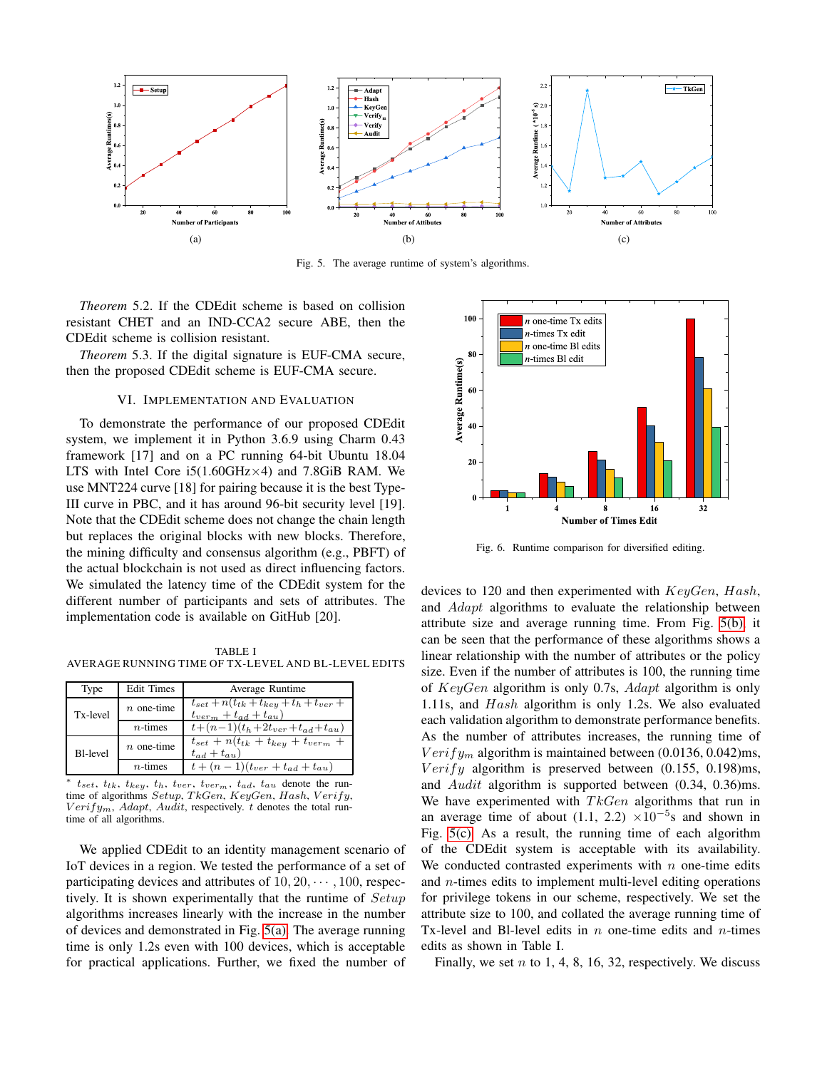<span id="page-7-0"></span>

<span id="page-7-1"></span>Fig. 5. The average runtime of system's algorithms.

*Theorem* 5.2. If the CDEdit scheme is based on collision resistant CHET and an IND-CCA2 secure ABE, then the CDEdit scheme is collision resistant.

*Theorem* 5.3. If the digital signature is EUF-CMA secure, then the proposed CDEdit scheme is EUF-CMA secure.

# VI. IMPLEMENTATION AND EVALUATION

To demonstrate the performance of our proposed CDEdit system, we implement it in Python 3.6.9 using Charm 0.43 framework [17] and on a PC running 64-bit Ubuntu 18.04 LTS with Intel Core  $i5(1.60 \text{GHz} \times 4)$  and 7.8GiB RAM. We use MNT224 curve [18] for pairing because it is the best Type-III curve in PBC, and it has around 96-bit security level [19]. Note that the CDEdit scheme does not change the chain length but replaces the original blocks with new blocks. Therefore, the mining difficulty and consensus algorithm (e.g., PBFT) of the actual blockchain is not used as direct influencing factors. We simulated the latency time of the CDEdit system for the different number of participants and sets of attributes. The implementation code is available on GitHub [20].

TABLE I AVERAGE RUNNING TIME OF TX-LEVEL AND BL-LEVEL EDITS

| Type            | <b>Edit Times</b> | Average Runtime                                                                  |  |  |
|-----------------|-------------------|----------------------------------------------------------------------------------|--|--|
| Tx-level        | $n$ one-time      | $t_{set} + n(t_{tk} + t_{key} + t_h + t_{ver} +$<br>$t_{verm} + t_{ad} + t_{au}$ |  |  |
|                 | $n$ -times        | $t+(n-1)(t_h+2t_{ver}+t_{ad}+t_{au})$                                            |  |  |
| <b>Bl-level</b> | $n$ one-time      | $t_{set} + n(t_{tk} + t_{key} + t_{verm} +$<br>$t_{ad} + t_{au}$                 |  |  |
|                 | $n$ -times        | $t + (n - 1)(t_{ver} + t_{ad} + t_{au})$                                         |  |  |

\*  $t_{set}, t_{tk}, t_{key}, t_h, t_{ver}, t_{verm}, t_{ad}, t_{au}$  denote the run-<br>time of algorithms  $Setup, TkGen, KeyGen, Hash, Verify,$  $Verify_m$ , Adapt, Audit, respectively. t denotes the total runtime of all algorithms.

We applied CDEdit to an identity management scenario of IoT devices in a region. We tested the performance of a set of participating devices and attributes of  $10, 20, \dots, 100$ , respectively. It is shown experimentally that the runtime of  $Setup$ algorithms increases linearly with the increase in the number of devices and demonstrated in Fig. [5\(a\).](#page-7-0) The average running time is only 1.2s even with 100 devices, which is acceptable for practical applications. Further, we fixed the number of

<span id="page-7-2"></span>

<span id="page-7-3"></span>Fig. 6. Runtime comparison for diversified editing.

devices to 120 and then experimented with  $KeyGen$ , Hash, and Adapt algorithms to evaluate the relationship between attribute size and average running time. From Fig. [5\(b\),](#page-7-1) it can be seen that the performance of these algorithms shows a linear relationship with the number of attributes or the policy size. Even if the number of attributes is 100, the running time of KeyGen algorithm is only 0.7s, Adapt algorithm is only 1.11s, and Hash algorithm is only 1.2s. We also evaluated each validation algorithm to demonstrate performance benefits. As the number of attributes increases, the running time of  $Verify_m$  algorithm is maintained between (0.0136, 0.042)ms,  $Verify$  algorithm is preserved between  $(0.155, 0.198)$ ms, and Audit algorithm is supported between (0.34, 0.36)ms. We have experimented with  $TkGen$  algorithms that run in an average time of about (1.1, 2.2)  $\times 10^{-5}$  and shown in Fig. [5\(c\).](#page-7-2) As a result, the running time of each algorithm of the CDEdit system is acceptable with its availability. We conducted contrasted experiments with  $n$  one-time edits and n-times edits to implement multi-level editing operations for privilege tokens in our scheme, respectively. We set the attribute size to 100, and collated the average running time of Tx-level and Bl-level edits in  $n$  one-time edits and  $n$ -times edits as shown in Table I.

Finally, we set  $n$  to 1, 4, 8, 16, 32, respectively. We discuss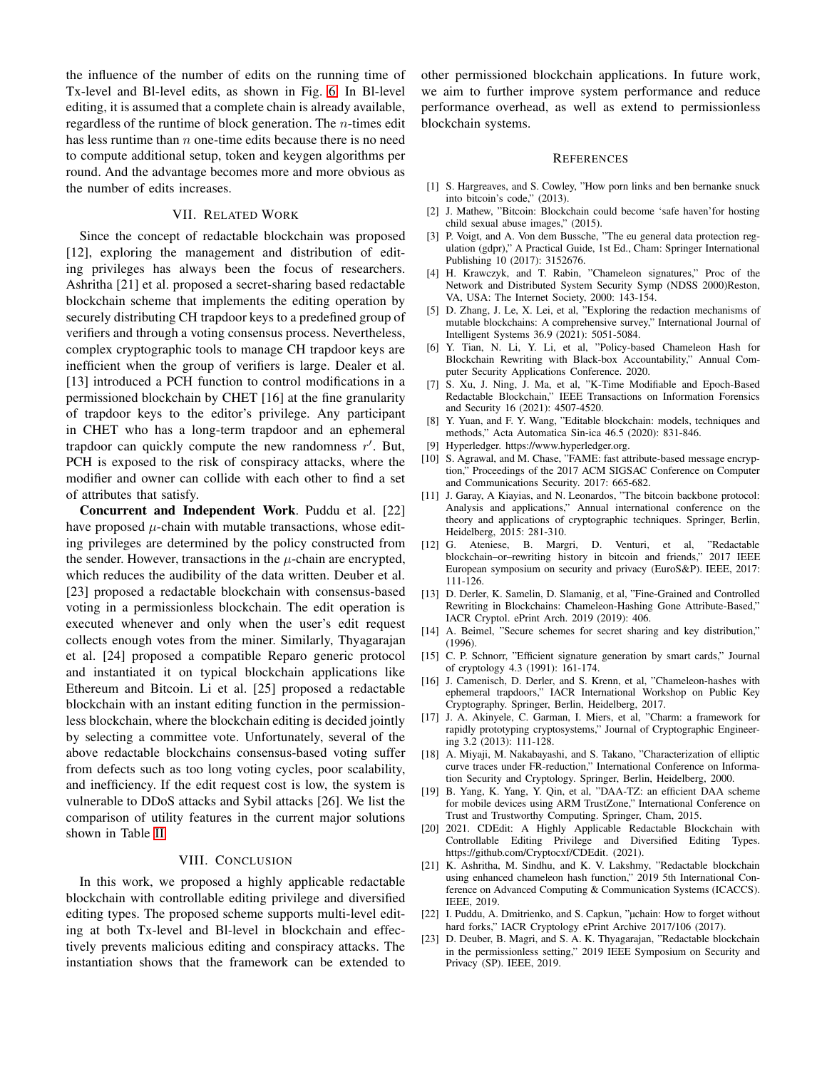the influence of the number of edits on the running time of Tx-level and Bl-level edits, as shown in Fig. [6.](#page-7-3) In Bl-level editing, it is assumed that a complete chain is already available, regardless of the runtime of block generation. The  $n$ -times edit has less runtime than  $n$  one-time edits because there is no need to compute additional setup, token and keygen algorithms per round. And the advantage becomes more and more obvious as the number of edits increases.

# VII. RELATED WORK

Since the concept of redactable blockchain was proposed [12], exploring the management and distribution of editing privileges has always been the focus of researchers. Ashritha [21] et al. proposed a secret-sharing based redactable blockchain scheme that implements the editing operation by securely distributing CH trapdoor keys to a predefined group of verifiers and through a voting consensus process. Nevertheless, complex cryptographic tools to manage CH trapdoor keys are inefficient when the group of verifiers is large. Dealer et al. [13] introduced a PCH function to control modifications in a permissioned blockchain by CHET [16] at the fine granularity of trapdoor keys to the editor's privilege. Any participant in CHET who has a long-term trapdoor and an ephemeral trapdoor can quickly compute the new randomness  $r'$ . But, PCH is exposed to the risk of conspiracy attacks, where the modifier and owner can collide with each other to find a set of attributes that satisfy.

Concurrent and Independent Work. Puddu et al. [22] have proposed  $\mu$ -chain with mutable transactions, whose editing privileges are determined by the policy constructed from the sender. However, transactions in the  $\mu$ -chain are encrypted, which reduces the audibility of the data written. Deuber et al. [23] proposed a redactable blockchain with consensus-based voting in a permissionless blockchain. The edit operation is executed whenever and only when the user's edit request collects enough votes from the miner. Similarly, Thyagarajan et al. [24] proposed a compatible Reparo generic protocol and instantiated it on typical blockchain applications like Ethereum and Bitcoin. Li et al. [25] proposed a redactable blockchain with an instant editing function in the permissionless blockchain, where the blockchain editing is decided jointly by selecting a committee vote. Unfortunately, several of the above redactable blockchains consensus-based voting suffer from defects such as too long voting cycles, poor scalability, and inefficiency. If the edit request cost is low, the system is vulnerable to DDoS attacks and Sybil attacks [26]. We list the comparison of utility features in the current major solutions shown in Table [II.](#page-9-0)

#### VIII. CONCLUSION

In this work, we proposed a highly applicable redactable blockchain with controllable editing privilege and diversified editing types. The proposed scheme supports multi-level editing at both Tx-level and Bl-level in blockchain and effectively prevents malicious editing and conspiracy attacks. The instantiation shows that the framework can be extended to

other permissioned blockchain applications. In future work, we aim to further improve system performance and reduce performance overhead, as well as extend to permissionless blockchain systems.

#### **REFERENCES**

- [1] S. Hargreaves, and S. Cowley, "How porn links and ben bernanke snuck into bitcoin's code," (2013).
- [2] J. Mathew, "Bitcoin: Blockchain could become 'safe haven'for hosting child sexual abuse images," (2015).
- [3] P. Voigt, and A. Von dem Bussche, "The eu general data protection regulation (gdpr)," A Practical Guide, 1st Ed., Cham: Springer International Publishing 10 (2017): 3152676.
- [4] H. Krawczyk, and T. Rabin, "Chameleon signatures," Proc of the Network and Distributed System Security Symp (NDSS 2000)Reston, VA, USA: The Internet Society, 2000: 143-154.
- [5] D. Zhang, J. Le, X. Lei, et al, "Exploring the redaction mechanisms of mutable blockchains: A comprehensive survey," International Journal of Intelligent Systems 36.9 (2021): 5051-5084.
- [6] Y. Tian, N. Li, Y. Li, et al, "Policy-based Chameleon Hash for Blockchain Rewriting with Black-box Accountability," Annual Computer Security Applications Conference. 2020.
- [7] S. Xu, J. Ning, J. Ma, et al, "K-Time Modifiable and Epoch-Based Redactable Blockchain," IEEE Transactions on Information Forensics and Security 16 (2021): 4507-4520.
- [8] Y. Yuan, and F. Y. Wang, "Editable blockchain: models, techniques and methods," Acta Automatica Sin-ica 46.5 (2020): 831-846.
- [9] Hyperledger. https://www.hyperledger.org.
- [10] S. Agrawal, and M. Chase, "FAME: fast attribute-based message encryption," Proceedings of the 2017 ACM SIGSAC Conference on Computer and Communications Security. 2017: 665-682.
- [11] J. Garay, A Kiayias, and N. Leonardos, "The bitcoin backbone protocol: Analysis and applications," Annual international conference on the theory and applications of cryptographic techniques. Springer, Berlin, Heidelberg, 2015: 281-310.
- [12] G. Ateniese, B. Margri, D. Venturi, et al, "Redactable blockchain–or–rewriting history in bitcoin and friends," 2017 IEEE European symposium on security and privacy (EuroS&P). IEEE, 2017: 111-126.
- [13] D. Derler, K. Samelin, D. Slamanig, et al, "Fine-Grained and Controlled Rewriting in Blockchains: Chameleon-Hashing Gone Attribute-Based," IACR Cryptol. ePrint Arch. 2019 (2019): 406.
- [14] A. Beimel, "Secure schemes for secret sharing and key distribution," (1996).
- [15] C. P. Schnorr, "Efficient signature generation by smart cards," Journal of cryptology 4.3 (1991): 161-174.
- [16] J. Camenisch, D. Derler, and S. Krenn, et al, "Chameleon-hashes with ephemeral trapdoors," IACR International Workshop on Public Key Cryptography. Springer, Berlin, Heidelberg, 2017.
- [17] J. A. Akinyele, C. Garman, I. Miers, et al, "Charm: a framework for rapidly prototyping cryptosystems," Journal of Cryptographic Engineering 3.2 (2013): 111-128.
- [18] A. Miyaji, M. Nakabayashi, and S. Takano, "Characterization of elliptic curve traces under FR-reduction," International Conference on Information Security and Cryptology. Springer, Berlin, Heidelberg, 2000.
- [19] B. Yang, K. Yang, Y. Qin, et al, "DAA-TZ: an efficient DAA scheme for mobile devices using ARM TrustZone," International Conference on Trust and Trustworthy Computing. Springer, Cham, 2015.
- [20] 2021. CDEdit: A Highly Applicable Redactable Blockchain with Controllable Editing Privilege and Diversified Editing Types. https://github.com/Cryptocxf/CDEdit. (2021).
- [21] K. Ashritha, M. Sindhu, and K. V. Lakshmy, "Redactable blockchain using enhanced chameleon hash function," 2019 5th International Conference on Advanced Computing & Communication Systems (ICACCS). IEEE, 2019.
- [22] I. Puddu, A. Dmitrienko, and S. Capkun, "µchain: How to forget without hard forks," IACR Cryptology ePrint Archive 2017/106 (2017).
- [23] D. Deuber, B. Magri, and S. A. K. Thyagarajan, "Redactable blockchain in the permissionless setting," 2019 IEEE Symposium on Security and Privacy (SP). IEEE, 2019.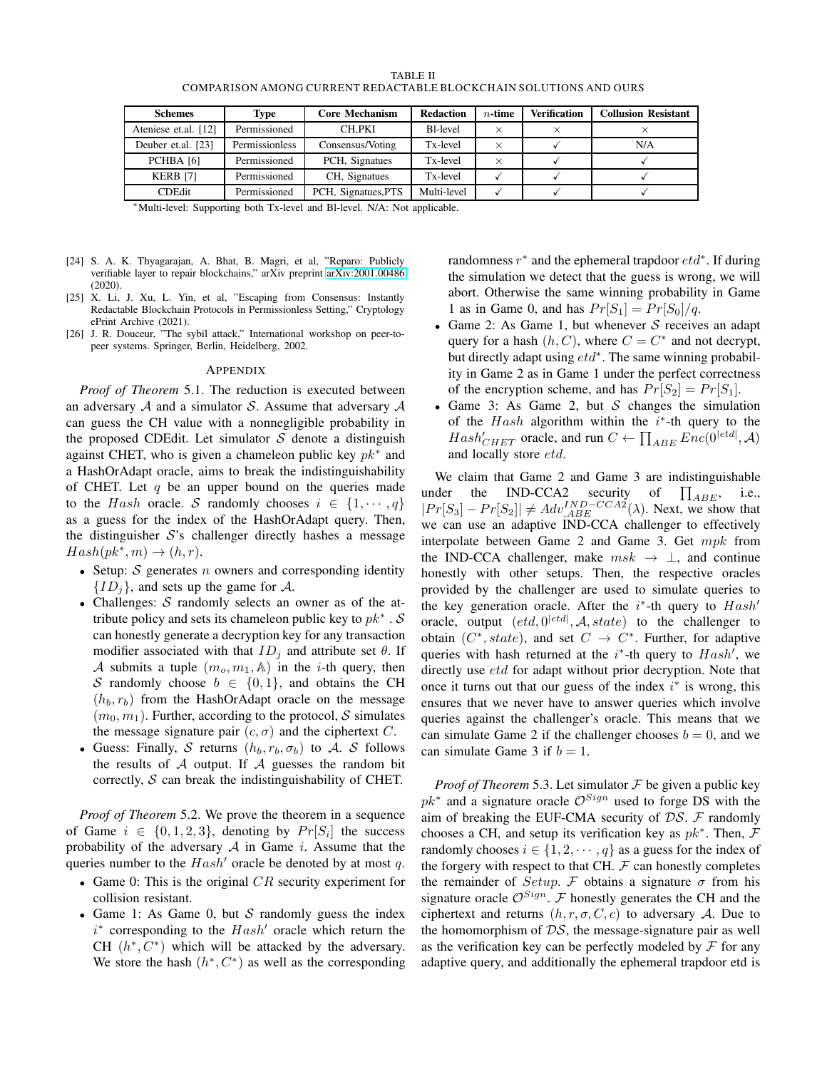| TABLE II                                                          |
|-------------------------------------------------------------------|
| COMPARISON AMONG CURRENT REDACTABLE BLOCKCHAIN SOLUTIONS AND OURS |

<span id="page-9-0"></span>

| <b>Schemes</b>       | <b>Type</b>    | <b>Core Mechanism</b> | <b>Redaction</b>      | $n$ -time | <b>Verification</b> | <b>Collusion Resistant</b> |
|----------------------|----------------|-----------------------|-----------------------|-----------|---------------------|----------------------------|
| Ateniese et.al. [12] | Permissioned   | CH.PKI                | B <sub>1</sub> -level | ×         |                     |                            |
| Deuber et.al. [23]   | Permissionless | Consensus/Voting      | Tx-level              |           |                     | N/A                        |
| PCHBA [6]            | Permissioned   | PCH, Signatues        | Tx-level              | ×         |                     |                            |
| <b>KERB [7]</b>      | Permissioned   | CH, Signatues         | Tx-level              |           |                     |                            |
| <b>CDEdit</b>        | Permissioned   | PCH, Signatues, PTS   | Multi-level           |           |                     |                            |

<sup>∗</sup>Multi-level: Supporting both Tx-level and Bl-level. N/A: Not applicable.

- [24] S. A. K. Thyagarajan, A. Bhat, B. Magri, et al, "Reparo: Publicly verifiable layer to repair blockchains," arXiv preprint [arXiv:2001.00486](http://arxiv.org/abs/2001.00486) (2020).
- [25] X. Li, J. Xu, L. Yin, et al, "Escaping from Consensus: Instantly Redactable Blockchain Protocols in Permissionless Setting," Cryptology ePrint Archive (2021).
- [26] J. R. Douceur, "The sybil attack," International workshop on peer-topeer systems. Springer, Berlin, Heidelberg, 2002.

#### APPENDIX

*Proof of Theorem* 5.1. The reduction is executed between an adversary  $A$  and a simulator  $S$ . Assume that adversary  $A$ can guess the CH value with a nonnegligible probability in the proposed CDEdit. Let simulator  $S$  denote a distinguish against CHET, who is given a chameleon public key  $pk^*$  and a HashOrAdapt oracle, aims to break the indistinguishability of CHET. Let  $q$  be an upper bound on the queries made to the Hash oracle. S randomly chooses  $i \in \{1, \dots, q\}$ as a guess for the index of the HashOrAdapt query. Then, the distinguisher  $S$ 's challenger directly hashes a message  $Hash(pk^*, m) \rightarrow (h, r).$ 

- Setup:  $S$  generates  $n$  owners and corresponding identity  ${ID<sub>i</sub>}$ , and sets up the game for A.
- Challenges:  $S$  randomly selects an owner as of the attribute policy and sets its chameleon public key to  $pk^*$  . S can honestly generate a decryption key for any transaction modifier associated with that  $ID_i$  and attribute set  $\theta$ . If A submits a tuple  $(m_o, m_1, \mathbb{A})$  in the *i*-th query, then S randomly choose  $b \in \{0, 1\}$ , and obtains the CH  $(h_b, r_b)$  from the HashOrAdapt oracle on the message  $(m_0, m_1)$ . Further, according to the protocol, S simulates the message signature pair  $(c, \sigma)$  and the ciphertext C.
- Guess: Finally, S returns  $(h_b, r_b, \sigma_b)$  to A. S follows the results of  $A$  output. If  $A$  guesses the random bit correctly,  $S$  can break the indistinguishability of CHET.

*Proof of Theorem* 5.2. We prove the theorem in a sequence of Game  $i \in \{0, 1, 2, 3\}$ , denoting by  $Pr[S_i]$  the success probability of the adversary  $A$  in Game i. Assume that the queries number to the  $Hash'$  oracle be denoted by at most q.

- Game 0: This is the original  $CR$  security experiment for collision resistant.
- Game 1: As Game 0, but  $S$  randomly guess the index  $i^*$  corresponding to the  $Hash'$  oracle which return the CH  $(h^*, C^*)$  which will be attacked by the adversary. We store the hash  $(h^*, C^*)$  as well as the corresponding

randomness  $r^*$  and the ephemeral trapdoor  $et d^*$ . If during the simulation we detect that the guess is wrong, we will abort. Otherwise the same winning probability in Game 1 as in Game 0, and has  $Pr[S_1] = Pr[S_0]/q$ .

- Game 2: As Game 1, but whenever  $S$  receives an adapt query for a hash  $(h, C)$ , where  $C = C^*$  and not decrypt, but directly adapt using  $et d^*$ . The same winning probability in Game 2 as in Game 1 under the perfect correctness of the encryption scheme, and has  $Pr[S_2] = Pr[S_1]$ .
- Game 3: As Game 2, but  $S$  changes the simulation of the  $Hash$  algorithm within the  $i^*$ -th query to the  $Hash'_{CHET}$  oracle, and run  $C \leftarrow \prod_{ABE} \text{Enc}(\vec{0}^{|etd|}, A)$ and locally store etd.

We claim that Game 2 and Game 3 are indistinguishable under the IND-CCA2 security of  $\prod_{ABE}$ , i.e.,  $|Pr[S_3] - Pr[S_2]| \neq Adv_{,ABE}^{IND-CCA2}(\lambda)$ . Next, we show that we can use an adaptive IND-CCA challenger to effectively interpolate between Game 2 and Game 3. Get mpk from the IND-CCA challenger, make  $msk \rightarrow \perp$ , and continue honestly with other setups. Then, the respective oracles provided by the challenger are used to simulate queries to the key generation oracle. After the  $i^*$ -th query to  $Hash'$ oracle, output  $(edd, 0^{|etd|}, \mathcal{A}, state)$  to the challenger to obtain  $(C^*, state)$ , and set  $C \rightarrow C^*$ . Further, for adaptive queries with hash returned at the  $i^*$ -th query to  $Hash'$ , we directly use *etd* for adapt without prior decryption. Note that once it turns out that our guess of the index  $i^*$  is wrong, this ensures that we never have to answer queries which involve queries against the challenger's oracle. This means that we can simulate Game 2 if the challenger chooses  $b = 0$ , and we can simulate Game 3 if  $b = 1$ .

*Proof of Theorem* 5.3. Let simulator  $F$  be given a public key  $pk^*$  and a signature oracle  $\mathcal{O}^{Sign}$  used to forge DS with the aim of breaking the EUF-CMA security of  $DS.$   $F$  randomly chooses a CH, and setup its verification key as  $pk^*$ . Then,  $\mathcal F$ randomly chooses  $i \in \{1, 2, \dots, q\}$  as a guess for the index of the forgery with respect to that CH.  $\mathcal F$  can honestly completes the remainder of Setup. F obtains a signature  $\sigma$  from his signature oracle  $\mathcal{O}^{Sign}$ . F honestly generates the CH and the ciphertext and returns  $(h, r, \sigma, C, c)$  to adversary A. Due to the homomorphism of  $DS$ , the message-signature pair as well as the verification key can be perfectly modeled by  $\mathcal F$  for any adaptive query, and additionally the ephemeral trapdoor etd is